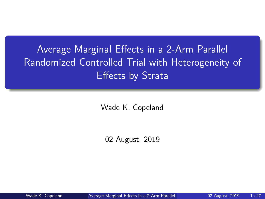<span id="page-0-0"></span>Average Marginal Effects in a 2-Arm Parallel Randomized Controlled Trial with Heterogeneity of Effects by Strata

Wade K. Copeland

02 August, 2019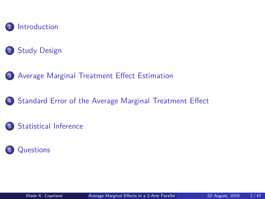

#### [Study Design](#page-6-0)

[Average Marginal Treatment Effect Estimation](#page-14-0)

[Standard Error of the Average Marginal Treatment Effect](#page-24-0)

#### [Statistical Inference](#page-39-0)

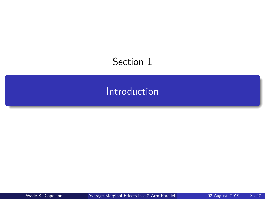# <span id="page-2-0"></span>Section 1

## [Introduction](#page-2-0)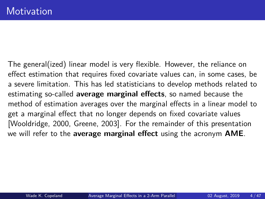The general(ized) linear model is very flexible. However, the reliance on effect estimation that requires fixed covariate values can, in some cases, be a severe limitation. This has led statisticians to develop methods related to estimating so-called **average marginal effects**, so named because the method of estimation averages over the marginal effects in a linear model to get a marginal effect that no longer depends on fixed covariate values [\[Wooldridge, 2000,](#page-46-1) [Greene, 2003\]](#page-45-0). For the remainder of this presentation we will refer to the **average marginal effect** using the acronym **AME**.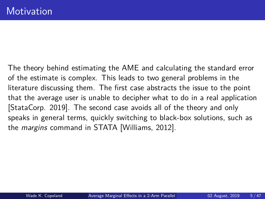The theory behind estimating the AME and calculating the standard error of the estimate is complex. This leads to two general problems in the literature discussing them. The first case abstracts the issue to the point that the average user is unable to decipher what to do in a real application [\[StataCorp. 2019\]](#page-46-2). The second case avoids all of the theory and only speaks in general terms, quickly switching to black-box solutions, such as the margins command in STATA [\[Williams, 2012\]](#page-46-3).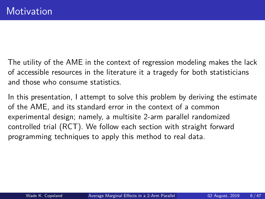The utility of the AME in the context of regression modeling makes the lack of accessible resources in the literature it a tragedy for both statisticians and those who consume statistics.

In this presentation, I attempt to solve this problem by deriving the estimate of the AME, and its standard error in the context of a common experimental design; namely, a multisite 2-arm parallel randomized controlled trial (RCT). We follow each section with straight forward programming techniques to apply this method to real data.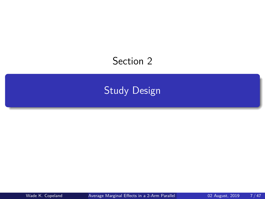## <span id="page-6-0"></span>Section 2

## [Study Design](#page-6-0)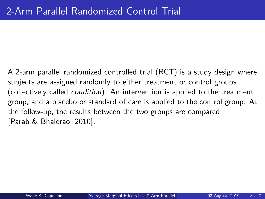A 2-arm parallel randomized controlled trial (RCT) is a study design where subjects are assigned randomly to either treatment or control groups (collectively called condition). An intervention is applied to the treatment group, and a placebo or standard of care is applied to the control group. At the follow-up, the results between the two groups are compared [\[Parab & Bhalerao, 2010\]](#page-46-4).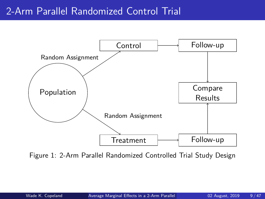## 2-Arm Parallel Randomized Control Trial



Figure 1: 2-Arm Parallel Randomized Controlled Trial Study Design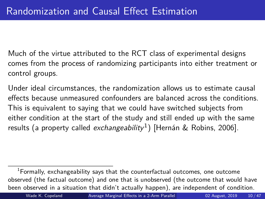Much of the virtue attributed to the RCT class of experimental designs comes from the process of randomizing participants into either treatment or control groups.

Under ideal circumstances, the randomization allows us to estimate causal effects because unmeasured confounders are balanced across the conditions. This is equivalent to saying that we could have switched subjects from either condition at the start of the study and still ended up with the same results (a property called *exchangeability*<sup>1</sup>) [\[Hernán & Robins, 2006\]](#page-45-1).

<sup>1</sup>Formally, exchangeability says that the counterfactual outcomes, one outcome observed (the factual outcome) and one that is unobserved (the outcome that would have been observed in a situation that didn't actually happen), are independent of condition.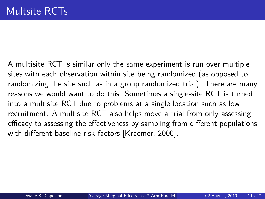A multisite RCT is similar only the same experiment is run over multiple sites with each observation within site being randomized (as opposed to randomizing the site such as in a group randomized trial). There are many reasons we would want to do this. Sometimes a single-site RCT is turned into a multisite RCT due to problems at a single location such as low recruitment. A multisite RCT also helps move a trial from only assessing efficacy to assessing the effectiveness by sampling from different populations with different baseline risk factors [\[Kraemer, 2000\]](#page-45-2).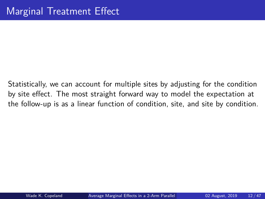Statistically, we can account for multiple sites by adjusting for the condition by site effect. The most straight forward way to model the expectation at the follow-up is as a linear function of condition, site, and site by condition.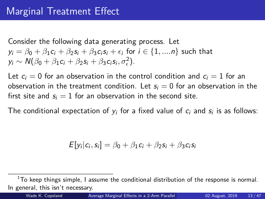Consider the following data generating process. Let  $y_i = \beta_0 + \beta_1 c_i + \beta_2 s_i + \beta_3 c_i s_i + \epsilon_i$  for  $i \in \{1, ..., n\}$  such that  $y_i \sim \mathcal{N}(\beta_0 + \beta_1 c_i + \beta_2 s_i + \beta_3 c_i s_i, \sigma_\epsilon^2).$ 

Let  $c_i = 0$  for an observation in the control condition and  $c_i = 1$  for an observation in the treatment condition. Let  $s_i = 0$  for an observation in the first site and  $s_i = 1$  for an observation in the second site.

The conditional expectation of  $y_i$  for a fixed value of  $c_i$  and  $s_i$  is as follows:

$$
E[y_i|c_i,s_i] = \beta_0 + \beta_1 c_i + \beta_2 s_i + \beta_3 c_i s_i
$$

 $1$ To keep things simple, I assume the conditional distribution of the response is normal. In general, this isn't necessary.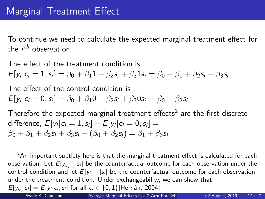To continue we need to calculate the expected marginal treatment effect for the *i<sup>th</sup>* observation.

The effect of the treatment condition is  $\mathcal{E}[y_i|c_i = 1, s_i] = \beta_0 + \beta_1 1 + \beta_2 s_i + \beta_3 1 s_i = \beta_0 + \beta_1 + \beta_2 s_i + \beta_3 s_i$ 

The effect of the control condition is  $E[y_i|c_i = 0, s_i] = \beta_0 + \beta_1 0 + \beta_2 s_i + \beta_3 0 s_i = \beta_0 + \beta_2 s_i$ 

Therefore the expected marginal treatment effects $^2$  are the first discrete  $\mathsf{difference},\; E[y_i|c_i=1,s_i] - E[y_i|c_i=0,s_i] =$  $β_0 + β_1 + β_2$ s<sub>i</sub> + β<sub>3</sub>s<sub>i</sub> − (β<sub>0</sub> + β<sub>2</sub>s<sub>i</sub>) = β<sub>1</sub> + β<sub>3</sub>s<sub>i</sub>

 $2An$  important subtlety here is that the marginal treatment effect is calculated for each observation. Let  $E[y_{i_{c_i=0}}|s_i]$  be the counterfactual outcome for each observation under the control condition and let  $E[y_{i_{c_i=1}}|s_i]$  be the counterfactual outcome for each observation under the treatment condition. Under exchangeability, we can show that  $E[y_{i_{c_i}}|s_i] = E[y_i|c_i,s_i]$  for all  $c_i \in \{0,1\}$ [\[Hernán, 2004\]](#page-45-3).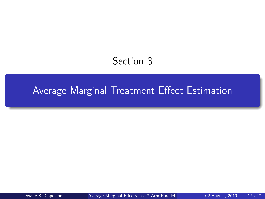## Section 3

## <span id="page-14-0"></span>[Average Marginal Treatment Effect Estimation](#page-14-0)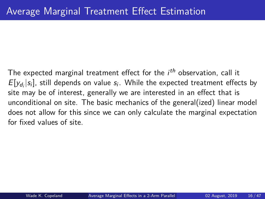The expected marginal treatment effect for the  $i^{th}$  observation, call it  $E[y_{d_i}|s_i]$ , still depends on value  $s_i$ . While the expected treatment effects by site may be of interest, generally we are interested in an effect that is unconditional on site. The basic mechanics of the general(ized) linear model does not allow for this since we can only calculate the marginal expectation for fixed values of site.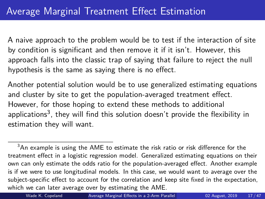A naive approach to the problem would be to test if the interaction of site by condition is significant and then remove it if it isn't. However, this approach falls into the classic trap of saying that failure to reject the null hypothesis is the same as saying there is no effect.

Another potential solution would be to use generalized estimating equations and cluster by site to get the population-averaged treatment effect. However, for those hoping to extend these methods to additional applications $^3$ , they will find this solution doesn't provide the flexibility in estimation they will want.

 $3$ An example is using the AME to estimate the risk ratio or risk difference for the treatment effect in a logistic regression model. Generalized estimating equations on their own can only estimate the odds ratio for the population-averaged effect. Another example is if we were to use longitudinal models. In this case, we would want to average over the subject-specific effect to account for the correlation and keep site fixed in the expectation, which we can later average over by estimating the AME.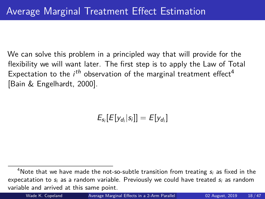We can solve this problem in a principled way that will provide for the flexibility we will want later. The first step is to apply the Law of Total Expectation to the  $i^{th}$  observation of the marginal treatment effect<sup>4</sup> [\[Bain & Engelhardt, 2000\]](#page-44-0).

 $E_{s_i}[E[y_{d_i}|s_i]] = E[y_{d_i}]$ 

<sup>&</sup>lt;sup>4</sup>Note that we have made the not-so-subtle transition from treating  $s_i$  as fixed in the expecatation to  $s_i$  as a random variable. Previously we could have treated  $s_i$  as random variable and arrived at this same point.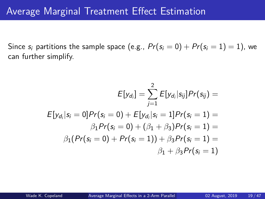Since  $s_i$  partitions the sample space (e.g.,  $Pr(s_i = 0) + Pr(s_i = 1) = 1$ ), we can further simplify.

$$
E[y_{d_i}] = \sum_{j=1}^{2} E[y_{d_i}|s_{ij}]Pr(s_{ij}) =
$$
  
\n
$$
E[y_{d_i}|s_i = 0]Pr(s_i = 0) + E[y_{d_i}|s_i = 1]Pr(s_i = 1) =
$$
  
\n
$$
\beta_1 Pr(s_i = 0) + (\beta_1 + \beta_3)Pr(s_i = 1) =
$$
  
\n
$$
\beta_1 (Pr(s_i = 0) + Pr(s_i = 1)) + \beta_3 Pr(s_i = 1) =
$$
  
\n
$$
\beta_1 + \beta_3 Pr(s_i = 1)
$$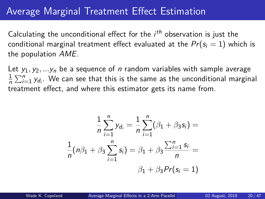## Average Marginal Treatment Effect Estimation

Calculating the unconditional effect for the  $i^{th}$  observation is just the conditional marginal treatment effect evaluated at the  $Pr(s_i = 1)$  which is the population AME.

Let  $y_1, y_2, \ldots, y_n$  be a sequence of *n* random variables with sample average 1  $\frac{1}{n}\sum_{i=1}^n y_{d_i}$ . We can see that this is the same as the unconditional marginal treatment effect, and where this estimator gets its name from.

$$
\frac{1}{n}\sum_{i=1}^{n}y_{d_i} = \frac{1}{n}\sum_{i=1}^{n}(\beta_1 + \beta_3 s_i) =
$$

$$
\frac{1}{n}(n\beta_1 + \beta_3 \sum_{i=1}^{n} s_i) = \beta_1 + \beta_3 \frac{\sum_{i=1}^{n} s_i}{n} =
$$

$$
\beta_1 + \beta_3 Pr(s_i = 1)
$$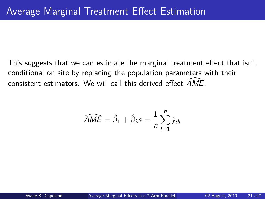This suggests that we can estimate the marginal treatment effect that isn't conditional on site by replacing the population parameters with their consistent estimators. We will call this derived effect  $\widehat{AME}$ .

$$
\widehat{AME} = \widehat{\beta}_1 + \widehat{\beta}_3 \overline{s} = \frac{1}{n} \sum_{i=1}^{n} \widehat{y}_{d_i}
$$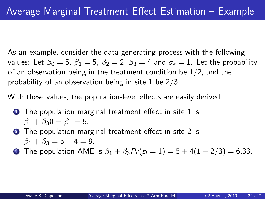As an example, consider the data generating process with the following values: Let  $\beta_0 = 5$ ,  $\beta_1 = 5$ ,  $\beta_2 = 2$ ,  $\beta_3 = 4$  and  $\sigma_{\epsilon} = 1$ . Let the probability of an observation being in the treatment condition be 1*/*2, and the probability of an observation being in site 1 be 2*/*3.

With these values, the population-level effects are easily derived.

- $\bullet$  The population marginal treatment effect in site 1 is  $\beta_1 + \beta_2 0 = \beta_1 = 5$ .
- **2** The population marginal treatment effect in site 2 is  $\beta_1 + \beta_3 = 5 + 4 = 9$ .

**3** The population AME is  $\beta_1 + \beta_3 Pr(s_i = 1) = 5 + 4(1 - 2/3) = 6.33$ .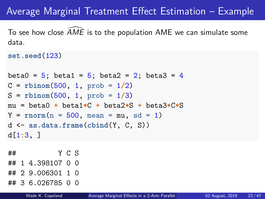## Average Marginal Treatment Effect Estimation – Example

To see how close  $AME$  is to the population  $AME$  we can simulate some data.

```
set.seed(123)
```

```
beta0 = 5; beta1 = 5; beta2 = 2; beta3 = 4C = rbinom(500, 1, prob = 1/2)
S = rbinom(500, 1, prob = 1/3)
mu = beta0 + beta1*C + beta2*S + beta3*C*S
Y = rnorm(n = 500, mean = mu, sd = 1)d <- as.data.frame(cbind(Y, C, S))
d[1:3, ]
```
## Y C S ## 1 4.398107 0 0 ## 2 9.006301 1 0

## 3 6.026785 0 0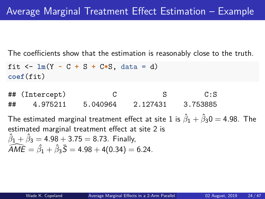The coefficients show that the estimation is reasonably close to the truth.

```
fit \leftarrow \text{lm}(Y \sim C + S + C*S, \text{ data} = d)coef(fit)
```
## (Intercept) C S C:S ## 4.975211 5.040964 2.127431 3.753885

The estimated marginal treatment effect at site 1 is  $\hat{\beta}_1 + \hat{\beta}_3$ 0  $=$  4.98. The estimated marginal treatment effect at site 2 is  $\hat{\beta}_1 + \hat{\beta}_3 =$  4.98 + 3.75 = 8.73. Finally,  $\widehat{AME} = \widehat{\beta}_1 + \widehat{\beta}_3 \bar{S} = 4.98 + 4(0.34) = 6.24.$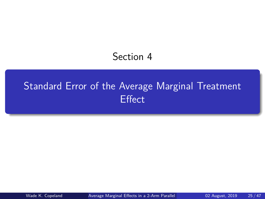## Section 4

# <span id="page-24-0"></span>[Standard Error of the Average Marginal Treatment](#page-24-0) **[Effect](#page-24-0)**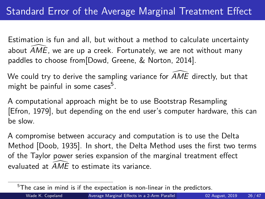Estimation is fun and all, but without a method to calculate uncertainty about  $AME$ , we are up a creek. Fortunately, we are not without many paddles to choose from[\[Dowd, Greene, & Norton, 2014\]](#page-44-1).

We could try to derive the sampling variance for  $AME$  directly, but that might be painful in some cases<sup>5</sup>.

A computational approach might be to use Bootstrap Resampling [\[Efron, 1979\]](#page-44-2), but depending on the end user's computer hardware, this can be slow.

A compromise between accuracy and computation is to use the Delta Method [\[Doob, 1935\]](#page-44-3). In short, the Delta Method uses the first two terms of the Taylor power series expansion of the marginal treatment effect evaluated at  $AME$  to estimate its variance.

 $5$ The case in mind is if the expectation is non-linear in the predictors.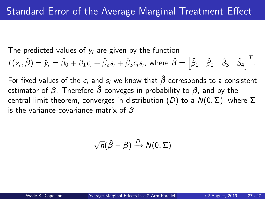The predicted values of  $y_i$  are given by the function

$$
f(x_i, \hat{\beta}) = \hat{y}_i = \hat{\beta}_0 + \hat{\beta}_1 c_i + \hat{\beta}_2 s_i + \hat{\beta}_3 c_i s_i, \text{ where } \hat{\beta} = \begin{bmatrix} \hat{\beta}_1 & \hat{\beta}_2 & \hat{\beta}_3 & \hat{\beta}_4 \end{bmatrix}^T.
$$

For fixed values of the  $c_i$  and  $s_i$  we know that  $\hat{\beta}$  corresponds to a consistent estimator of  $\beta$ . Therefore  $\hat{\beta}$  conveges in probability to  $\beta$ , and by the central limit theorem, converges in distribution (D) to a N(0*,* Σ), where Σ is the variance-covariance matrix of *β*.

$$
\sqrt{n}(\hat{\beta}-\beta) \xrightarrow{D} N(0,\Sigma)
$$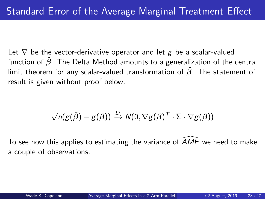Let  $\nabla$  be the vector-derivative operator and let g be a scalar-valued function of *β***ˆ**. The Delta Method amounts to a generalization of the central limit theorem for any scalar-valued transformation of *β***ˆ**. The statement of result is given without proof below.

$$
\sqrt{n}(g(\hat{\beta}) - g(\beta)) \xrightarrow{D} \mathsf{N}(0, \nabla g(\beta)^{\mathsf{T}} \cdot \Sigma \cdot \nabla g(\beta))
$$

To see how this applies to estimating the variance of  $\widehat{AME}$  we need to make a couple of observations.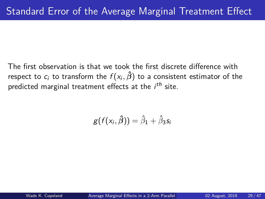The first observation is that we took the first discrete difference with respect to  $c_i$  to transform the  $f(\mathsf{x}_i,\hat\beta)$  to a consistent estimator of the predicted marginal treatment effects at the  $i^{th}$  site.

$$
g(f(x_i, \hat{\beta})) = \hat{\beta}_1 + \hat{\beta}_3 s_i
$$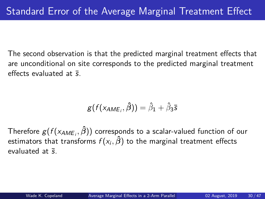The second observation is that the predicted marginal treatment effects that are unconditional on site corresponds to the predicted marginal treatment effects evaluated at  $\bar{s}$ .

$$
g(f(x_{AME_i}, \hat{\beta})) = \hat{\beta}_1 + \hat{\beta}_3 \bar{s}
$$

Therefore g(f (xAME<sup>i</sup> *, β***ˆ**)) corresponds to a scalar-valued function of our  $\epsilon$ stimators that transforms  $f(\mathsf{x}_i,\boldsymbol{\hat{\beta}})$  to the marginal treatment effects evaluated at  $\bar{s}$ .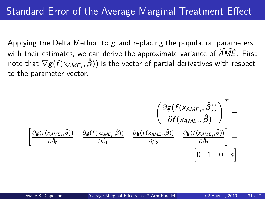Applying the Delta Method to  $g$  and replacing the population parameters with their estimates, we can derive the approximate variance of  $\overline{AME}$ . First note that  $\nabla g(f(\mathsf{x}_{\mathsf{AME}_i}, \boldsymbol{\hat{\beta}}))$  is the vector of partial derivatives with respect to the parameter vector.

$$
\begin{aligned}\n&\left(\frac{\partial g(f(x_{AME_i}, \hat{\beta}))}{\partial f(x_{AME_i}, \hat{\beta})}\right)^T = \\
&\left[\frac{\partial g(f(x_{AME_i}, \hat{\beta}))}{\partial \hat{\beta}_0} \quad \frac{\partial g(f(x_{AME_i}, \hat{\beta}))}{\partial \hat{\beta}_1} \quad \frac{\partial g(f(x_{AME_i}, \hat{\beta}))}{\partial \hat{\beta}_2} \quad \frac{\partial g(f(x_{AME_i}, \hat{\beta}))}{\partial \hat{\beta}_3}\right] = \\
&\left[0 \quad 1 \quad 0 \quad \overline{5}\right]\n\end{aligned}
$$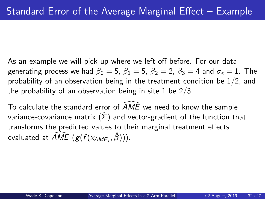As an example we will pick up where we left off before. For our data generating process we had  $\beta_0 = 5$ ,  $\beta_1 = 5$ ,  $\beta_2 = 2$ ,  $\beta_3 = 4$  and  $\sigma_{\epsilon} = 1$ . The probability of an observation being in the treatment condition be 1*/*2, and the probability of an observation being in site 1 be 2*/*3.

To calculate the standard error of  $AME$  we need to know the sample variance-covariance matrix  $(\hat{\Sigma})$  and vector-gradient of the function that transforms the predicted values to their marginal treatment effects evaluated at  $\widehat{AME}$   $(g(f(\mathsf{x}_{AME_i}, \hat{\beta})))$ .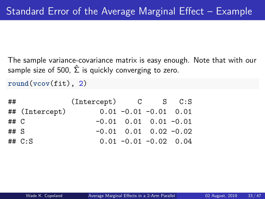The sample variance-covariance matrix is easy enough. Note that with our sample size of 500,  $\hat{\Sigma}$  is quickly converging to zero.

**round**(**vcov**(fit), 2)

| ##     |                | $(Intercept)$ $C$ $S$ $C: S$ |                               |  |
|--------|----------------|------------------------------|-------------------------------|--|
|        | ## (Intercept) |                              | $0.01 - 0.01 - 0.01$ 0.01     |  |
| ## C   |                |                              | $-0.01$ 0.01 0.01 $-0.01$     |  |
| ## $S$ |                |                              | $-0.01$ $0.01$ $0.02$ $-0.02$ |  |
|        | $\#$ # $C:$ S  |                              | $0.01 - 0.01 - 0.02$ 0.04     |  |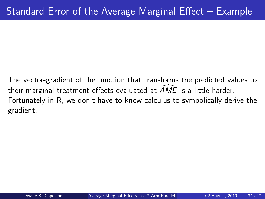The vector-gradient of the function that transforms the predicted values to their marginal treatment effects evaluated at  $AME$  is a little harder. Fortunately in R, we don't have to know calculus to symbolically derive the gradient.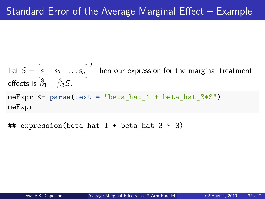Let  $S=\begin{bmatrix} s_1 & s_2 & \ldots s_n \end{bmatrix}^T$  then our expression for the marginal treatment effects is  $\hat{\beta}_1 + \hat{\beta}_3 S$ . meExpr <- **parse**(text = "beta\_hat\_1 + beta\_hat\_3\*S") meExpr

## expression(beta hat  $1 +$  beta hat  $3 * S$ )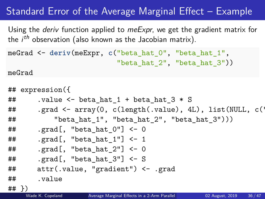## Standard Error of the Average Marginal Effect – Example

Using the *deriv* function applied to *meExpr*, we get the gradient matrix for the  $i^{th}$  observation (also known as the Jacobian matrix).

```
meGrad <- deriv(meExpr, c("beta_hat_0", "beta_hat_1",
                          "beta hat 2", "beta hat 3"))
```
meGrad

```
## expression({
\# .value \leq beta hat 1 + beta hat 3 * S
## .grad <- array(0, c(length(.value), 4L), list(NULL, c('
## "beta_hat_1", "beta_hat_2", "beta_hat_3")))
\## .grad[, "beta hat 0"] <- 0
\# .grad[, "beta hat 1"] <- 1
\## .grad[, "beta hat 2"] <- 0
## .grad[, "beta_hat_3"] <- S
## attr(.value, "gradient") <- .grad
## .value
\frac{##}{#} Wade K. Copeland
```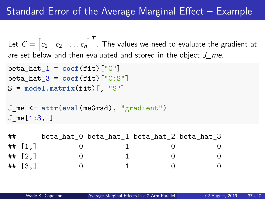## Standard Error of the Average Marginal Effect – Example

Let  $C = \begin{bmatrix} c_1 & c_2 & \ldots c_n \end{bmatrix}^T$  . The values we need to evaluate the gradient at are set below and then evaluated and stored in the object  $J$  me.

```
beta hat 1 = \text{coef}(fit)["C"]beta hat 3 = \text{coeff}(\text{fit}) ["C:S"]
S = model.matrix(fit)[, "S"]
```

```
J_me <- attr(eval(meGrad), "gradient")
J_me[1:3, ]
```

| ## |                        |  | beta hat 0 beta hat 1 beta hat 2 beta hat 3 |   |
|----|------------------------|--|---------------------------------------------|---|
|    | ## $[1,]$              |  |                                             |   |
|    | ## $\lceil 2.1 \rceil$ |  |                                             | 0 |
|    | ## $\lceil 3.1 \rceil$ |  |                                             |   |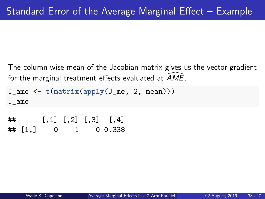The column-wise mean of the Jacobian matrix gives us the vector-gradient for the marginal treatment effects evaluated at  $AME$ .

```
J_ame <- t(matrix(apply(J_me, 2, mean)))
J_ame
## [,1] [,2] [,3] [,4]
## [1,] 0 1 0 0.338
```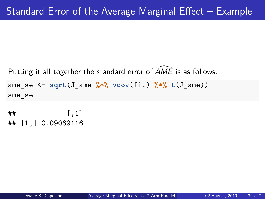Putting it all together the standard error of  $\widehat{A}ME$  is as follows: ame se  $\leq$  sqrt(J ame  $\frac{1}{2}$   $\frac{1}{2}$   $\frac{1}{2}$   $\frac{1}{2}$   $\frac{1}{2}$   $\frac{1}{2}$   $\frac{1}{2}$   $\frac{1}{2}$   $\frac{1}{2}$   $\frac{1}{2}$   $\frac{1}{2}$   $\frac{1}{2}$   $\frac{1}{2}$   $\frac{1}{2}$   $\frac{1}{2}$   $\frac{1}{2}$   $\frac{1}{2}$   $\frac{1}{2}$   $\frac{1}{2}$   $\frac{1}{2$ ame\_se

 $\sharp$  #  $\sharp$   $\qquad$   $\qquad$   $\qquad$   $\qquad$   $\qquad$   $\qquad$   $\qquad$   $\qquad$   $\qquad$   $\qquad$   $\qquad$   $\qquad$   $\qquad$   $\qquad$   $\qquad$   $\qquad$   $\qquad$   $\qquad$   $\qquad$   $\qquad$   $\qquad$   $\qquad$   $\qquad$   $\qquad$   $\qquad$   $\qquad$   $\qquad$   $\qquad$   $\qquad$   $\qquad$   $\qquad$   $\qquad$   $\qquad$   $\qquad$   $\qquad$ ## [1,] 0.09069116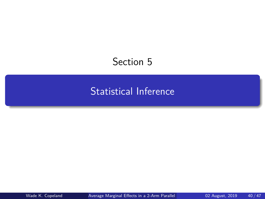## <span id="page-39-0"></span>Section 5

## [Statistical Inference](#page-39-0)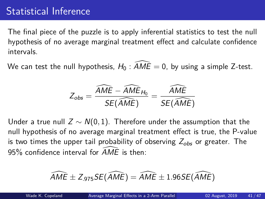## Statistical Inference

The final piece of the puzzle is to apply inferential statistics to test the null hypothesis of no average marginal treatment effect and calculate confidence intervals.

We can test the null hypothesis,  $H_0$ :  $\overline{AME} = 0$ , by using a simple Z-test.

$$
Z_{obs} = \frac{\widehat{AME} - \widehat{AME}_{H_0}}{SE(\widehat{AME})} = \frac{\widehat{AME}}{SE(\widehat{AME})}
$$

Under a true null  $Z \sim N(0, 1)$ . Therefore under the assumption that the null hypothesis of no average marginal treatment effect is true, the P-value is two times the upper tail probability of observing  $Z_{obs}$  or greater. The 95% confidence interval for  $\overline{AMF}$  is then:

$$
\widehat{\text{AME}} \pm Z_{.975}SE(\widehat{\text{AME}}) = \widehat{\text{AME}} \pm 1.96SE(\widehat{\text{AME}})
$$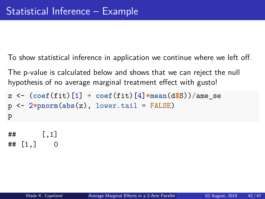To show statistical inference in application we continue where we left off.

The p-value is calculated below and shows that we can reject the null hypothesis of no average marginal treatment effect with gusto!

```
z <- (coef(fit)[1] + coef(fit)[4]*mean(d$S))/ame_se
p <- 2*pnorm(abs(z), lower.tail = FALSE)
p
```
## [,1]  $\#$ # [1,] 0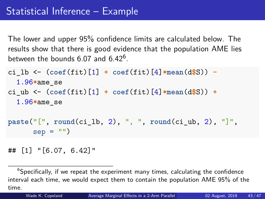The lower and upper 95% confidence limits are calculated below. The results show that there is good evidence that the population AME lies between the bounds  $6.07$  and  $6.42^6$ .

```
ci_lb <- (coef(fit)[1] + coef(fit)[4]*mean(d$S)) -
  1.96*ame_se
ci_ub <- (coef(fit)[1] + coef(fit)[4]*mean(d$S)) +
  1.96*ame_se
paste("[", round(ci_lb, 2), ", ", round(ci_ub, 2), "]",
      sep = "")
```
## [1] "[6.07, 6.42]"

 $6$ Specifically, if we repeat the experiment many times, calculating the confidence interval each time, we would expect them to contain the population AME 95% of the time.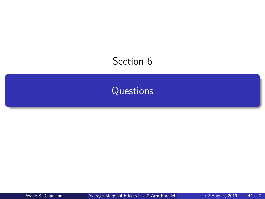## <span id="page-43-0"></span>Section 6

## **[Questions](#page-43-0)**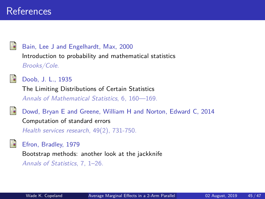### References

<span id="page-44-0"></span>

Bain, Lee J and Engelhardt, Max, 2000 Introduction to probability and mathematical statistics Brooks/Cole.

<span id="page-44-3"></span>

Doob, J. L., 1935

The Limiting Distributions of Certain Statistics Annals of Mathematical Statistics, 6, 160—169.

<span id="page-44-1"></span>

Dowd, Bryan E and Greene, William H and Norton, Edward C, 2014 Computation of standard errors Health services research, 49(2), 731-750.

#### <span id="page-44-2"></span>Efron, Bradley, 1979

Bootstrap methods: another look at the jackknife

Annals of Statistics, 7, 1–26.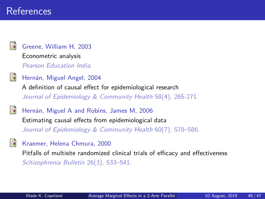### References

<span id="page-45-0"></span>

Greene, William H, 2003

Econometric analysis

Pearson Education India.

<span id="page-45-3"></span>Hernán, Miguel Angel, 2004 A definition of causal effect for epidemiological research Journal of Epidemiology & Community Health 58(4), 265-271.

<span id="page-45-1"></span>Hernán, Miguel A and Robins, James M, 2006 Estimating causal effects from epidemiological data Journal of Epidemiology & Community Health 60(7), 578-586.

<span id="page-45-2"></span>Kraemer, Helena Chmura, 2000 Pitfalls of multisite randomized clinical trials of efficacy and effectiveness Schizophrenia Bulletin 26(3), 533–541.